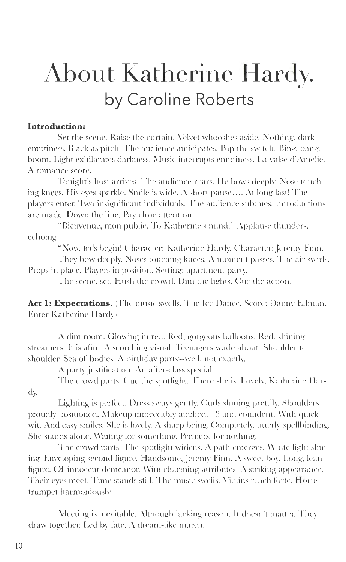## **About Katherine Hardy. by Caroline Roberts**

## **Introduction:**

Set the scene. Raise the curtain. Velvet whooshes aside. Nothing, dark emptiness. Black as pitch. The audience anticipates. Pop the switch. Bing, bang. boom. Light exhilarates darkness. Music interrupts emptiness. La valse d'Amélie. A romance score.

Tonight's host arrives. The audience roars. He bows deeply. Nose touching knees. His eyes sparkle. Smile is wide. A short pause  $\dots$  At long last! The players enter. Two insignificant individuals. The audience subdues. Introductions are made. Down the line. Pay close attention.

"Bienvenue, mon public. To Katherine's mind." Applause thunders. echoing.

"Now, let's begin! Character: Katherine Hardy. Character: Jeremy Finn."

They bow deeply. Noses touching knees. A moment passes. The air swirls. Props in place. Players in position. Setting: apartment party.

The scene, set. Hush the crowd. Dim the lights. Cuc the action.

Act 1: Expectations. (The music swells. The Ice Dance, Score: Danny Elfman. Enter Katherine Hardy)

A dim room. Glowing in red. Red, gorgeous balloons. Red, shining streamers. It is afire. A scorching visual. Teenagers wade about. Shoulder to shoulder. Sea of bodies. A birthday party--well, not exactly.

 $\Lambda$  party justification. An after-class special.

The crowd parts. Cue the spotlight. There she is. Lovely, Katherine Harcly.

Lighting is perfect. Dress sways gently. Curls shining prettily. Shoulders proudly positioned. Makeup impeccably applied. 18 and confident. With quick wit. And easy smiles. She is lovely. A sharp being. Completely, utterly spellbinding. She stands alone. Waiting for something. Perhaps, for nothing.

The crowd parts. The spotlight widens. A path emerges. White light shining. Enveloping second figure. Handsome, Jeremy Finn. A sweet boy. Long, lean figure. Of innocent demeanor. With charming attributes. A striking appearance. Their eyes meet. Time stands still. The music swells. Violins reach forte. Horns trumpet harmoniously.

Meeting is inevitable. Although lacking reason. It doesn't matter. They draw together. Led by fate. A dream-like march.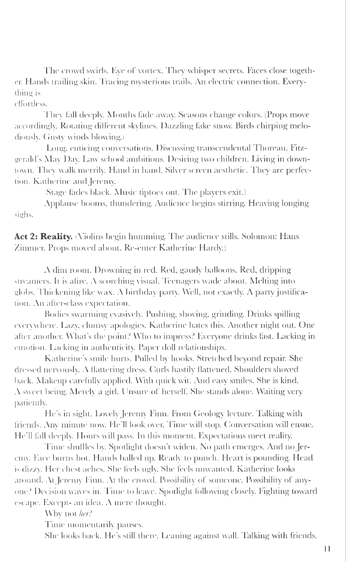The crowd swirls. Eye of vortex. They whisper secrets. Faces close together. Hands trailing skin . Tracing mysterious trails. An electric connection. Everything is

effortless.

They fall deeply. Months fade away. Seasons change colors. (Props move accordingly. Rotating different skylines. Dazzling fake snow. Birds chirping melodiously. Gusty winds blowing.)

Long, enticing conversations. Discussing transcendental Thoreau. Fitzgerald's May Day. Law school ambitions. Desiring two children. Living in downtown. They walk merrily. Hand in hand. Silver screen aesthetic. They are perfection. Katherine and Jeremy.

(Stage fades black. Music tiptoes out. The players exit.)

Applause booms, thundering. Audience begins stirring. Heaving longing sighs.

Act 2: Reality. Niolins begin humming. The audience stills. Solomon: Hans Zimmer. Props moved about. Re-enter Katherine Hardy.)

A dim room. Drowning in red. Red, gaudy balloons. Red, dripping streamers. It is a fire. *A* scorching visual. Teenagers wade about. Melting into globs. Thickening like wax. A birthday party. Well, not exactly. A party justification. An after-class expectation.

Bodies swarming evasively. Pushing, shoving, grinding. Drinks spilling everywhere. Lazy, clumsy apologies. K atherine hates this. Another night out. One after another. What's the point? Who to impress? Everyone drinks fast. Lacking in emotion. Lacking in authenticity. Paper doll relationships.

Katherine's smile hurts. Pulled by hooks. Stretched beyond repair. She dressed nervously. A flattering dress. Curls hastily flattened. Shoulders shoved back. Makeup carefully applied. With quick wit. And easy smiles. She is kind.  $\Lambda$  sweet being. Merely a girl. Unsure of herself. She stands alone. Waiting very patiently.

He's in sight. Lovely Jeremy Finn. From Geology lecture. Talking with friends. Any minute now. He'll look over. Time will stop. Conversation will ensue. He'll fall deeply. Hours will pass. In this moment. Expectations meet reality.

Time shuffles by. Spotlight doesn't widen. No path emerges. And no Jeremy. Face burns hot. Hands balled up. Ready to punch. Heart is pounding. Head is dizzy. Her chest aches. She feels ugly. She feels unwanted. Katherine looks around. At Jeremy Finn. At the crowd. Possibility of someone. Possibility of anyone? Decision waves in. Time to leave. Spotlight following closely. Fighting toward escape. Except- an idea. A mere thought.

\ \'hy not *her?* 

Time momentarily pauses.

She looks back. He's still there. Leaning against wall. Talking with friends.